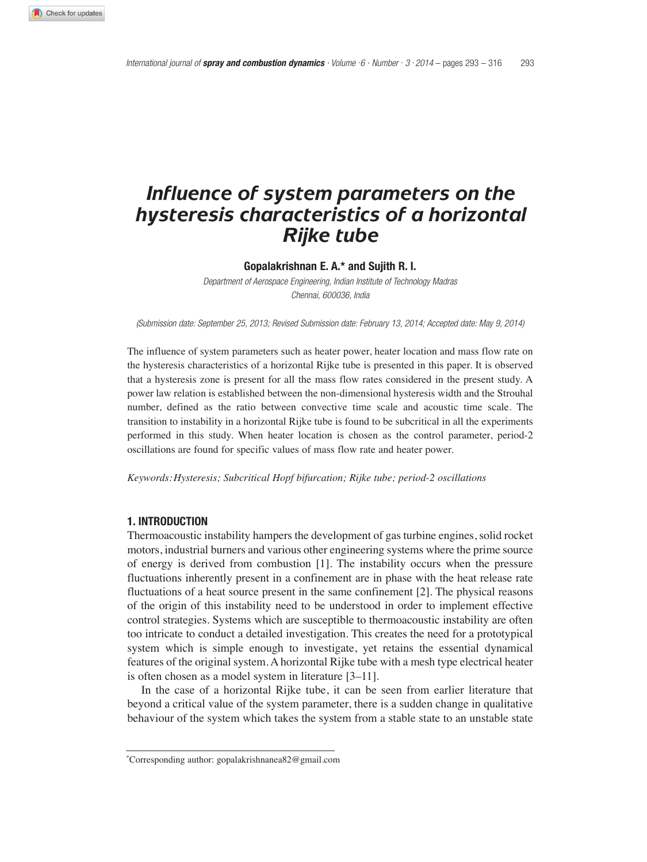# *Influence of system parameters on the hysteresis characteristics of a horizontal Rijke tube*

**Gopalakrishnan E. A.\* and Sujith R. I.**

Department of Aerospace Engineering, Indian Institute of Technology Madras Chennai, 600036, India

(Submission date: September 25, 2013; Revised Submission date: February 13, 2014; Accepted date: May 9, 2014)

The influence of system parameters such as heater power, heater location and mass flow rate on the hysteresis characteristics of a horizontal Rijke tube is presented in this paper. It is observed that a hysteresis zone is present for all the mass flow rates considered in the present study. A power law relation is established between the non-dimensional hysteresis width and the Strouhal number, defined as the ratio between convective time scale and acoustic time scale. The transition to instability in a horizontal Rijke tube is found to be subcritical in all the experiments performed in this study. When heater location is chosen as the control parameter, period-2 oscillations are found for specific values of mass flow rate and heater power.

*Keywords:Hysteresis; Subcritical Hopf bifurcation; Rijke tube; period-2 oscillations*

# **1. INTRODUCTION**

Thermoacoustic instability hampers the development of gas turbine engines, solid rocket motors, industrial burners and various other engineering systems where the prime source of energy is derived from combustion [1]. The instability occurs when the pressure fluctuations inherently present in a confinement are in phase with the heat release rate fluctuations of a heat source present in the same confinement [2]. The physical reasons of the origin of this instability need to be understood in order to implement effective control strategies. Systems which are susceptible to thermoacoustic instability are often too intricate to conduct a detailed investigation. This creates the need for a prototypical system which is simple enough to investigate, yet retains the essential dynamical features of the original system. A horizontal Rijke tube with a mesh type electrical heater is often chosen as a model system in literature [3–11].

In the case of a horizontal Rijke tube, it can be seen from earlier literature that beyond a critical value of the system parameter, there is a sudden change in qualitative behaviour of the system which takes the system from a stable state to an unstable state

<sup>\*</sup>Corresponding author: gopalakrishnanea82@gmail.com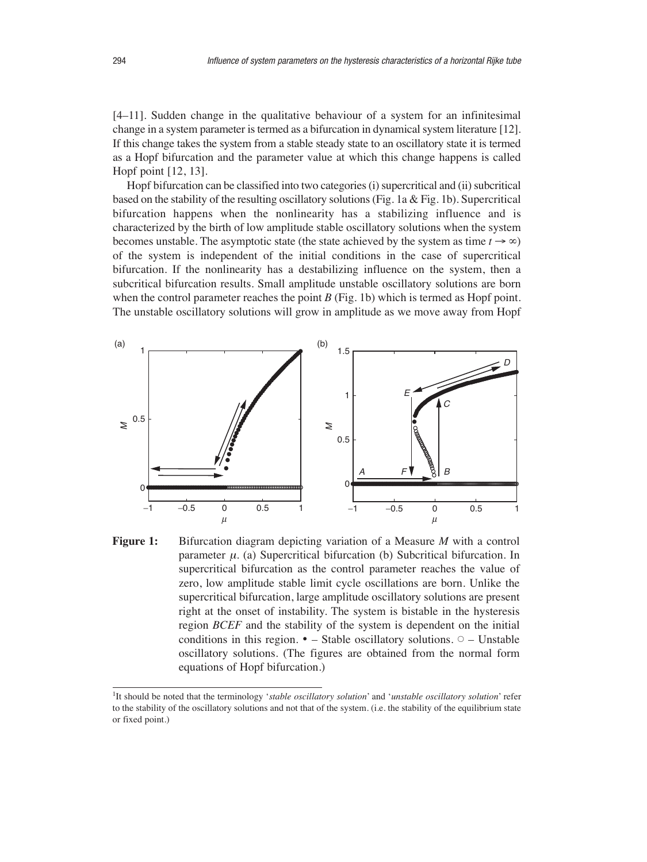[4–11]. Sudden change in the qualitative behaviour of a system for an infinitesimal change in a system parameter is termed as a bifurcation in dynamical system literature [12]. If this change takes the system from a stable steady state to an oscillatory state it is termed as a Hopf bifurcation and the parameter value at which this change happens is called Hopf point [12, 13].

Hopf bifurcation can be classified into two categories (i) supercritical and (ii) subcritical based on the stability of the resulting oscillatory solutions (Fig. 1a & Fig. 1b). Supercritical bifurcation happens when the nonlinearity has a stabilizing influence and is characterized by the birth of low amplitude stable oscillatory solutions when the system becomes unstable. The asymptotic state (the state achieved by the system as time  $t \rightarrow \infty$ ) of the system is independent of the initial conditions in the case of supercritical bifurcation. If the nonlinearity has a destabilizing influence on the system, then a subcritical bifurcation results. Small amplitude unstable oscillatory solutions are born when the control parameter reaches the point  $B$  (Fig. 1b) which is termed as Hopf point. The unstable oscillatory solutions will grow in amplitude as we move away from Hopf



**Figure 1:** Bifurcation diagram depicting variation of a Measure *M* with a control parameter  $\mu$ . (a) Supercritical bifurcation (b) Subcritical bifurcation. In supercritical bifurcation as the control parameter reaches the value of zero, low amplitude stable limit cycle oscillations are born. Unlike the supercritical bifurcation, large amplitude oscillatory solutions are present right at the onset of instability. The system is bistable in the hysteresis region *BCEF* and the stability of the system is dependent on the initial conditions in this region.  $\bullet$  - Stable oscillatory solutions.  $\circ$  - Unstable oscillatory solutions. (The figures are obtained from the normal form equations of Hopf bifurcation.)

<sup>1</sup>It should be noted that the terminology '*stable oscillatory solution*' and '*unstable oscillatory solution*' refer to the stability of the oscillatory solutions and not that of the system. (i.e. the stability of the equilibrium state or fixed point.)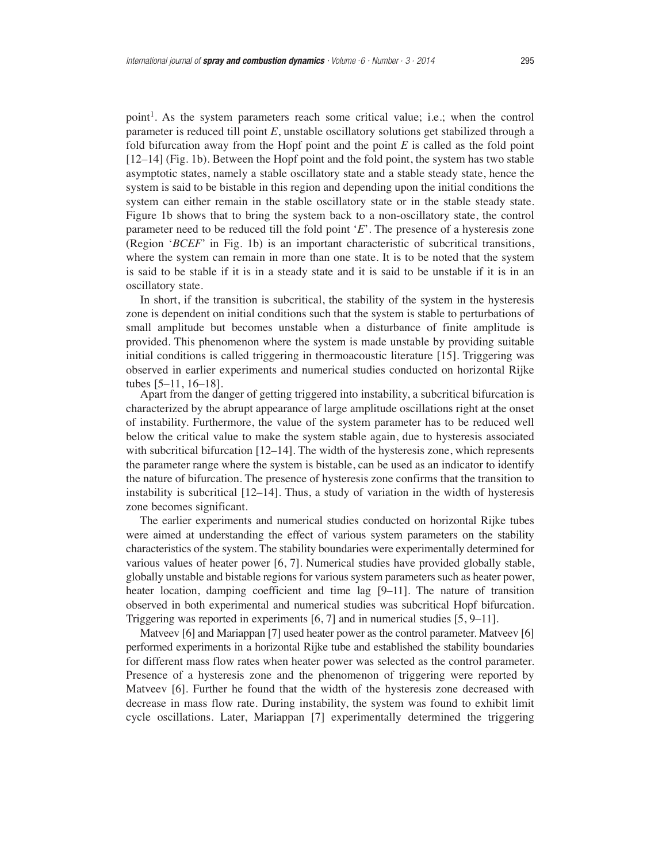point<sup>1</sup>. As the system parameters reach some critical value; i.e.; when the control parameter is reduced till point *E*, unstable oscillatory solutions get stabilized through a fold bifurcation away from the Hopf point and the point *E* is called as the fold point [12–14] (Fig. 1b). Between the Hopf point and the fold point, the system has two stable asymptotic states, namely a stable oscillatory state and a stable steady state, hence the system is said to be bistable in this region and depending upon the initial conditions the system can either remain in the stable oscillatory state or in the stable steady state. Figure 1b shows that to bring the system back to a non-oscillatory state, the control parameter need to be reduced till the fold point '*E*'. The presence of a hysteresis zone (Region '*BCEF*' in Fig. 1b) is an important characteristic of subcritical transitions, where the system can remain in more than one state. It is to be noted that the system is said to be stable if it is in a steady state and it is said to be unstable if it is in an oscillatory state.

In short, if the transition is subcritical, the stability of the system in the hysteresis zone is dependent on initial conditions such that the system is stable to perturbations of small amplitude but becomes unstable when a disturbance of finite amplitude is provided. This phenomenon where the system is made unstable by providing suitable initial conditions is called triggering in thermoacoustic literature [15]. Triggering was observed in earlier experiments and numerical studies conducted on horizontal Rijke tubes [5–11, 16–18].

Apart from the danger of getting triggered into instability, a subcritical bifurcation is characterized by the abrupt appearance of large amplitude oscillations right at the onset of instability. Furthermore, the value of the system parameter has to be reduced well below the critical value to make the system stable again, due to hysteresis associated with subcritical bifurcation  $[12-14]$ . The width of the hysteresis zone, which represents the parameter range where the system is bistable, can be used as an indicator to identify the nature of bifurcation. The presence of hysteresis zone confirms that the transition to instability is subcritical [12–14]. Thus, a study of variation in the width of hysteresis zone becomes significant.

The earlier experiments and numerical studies conducted on horizontal Rijke tubes were aimed at understanding the effect of various system parameters on the stability characteristics of the system. The stability boundaries were experimentally determined for various values of heater power [6, 7]. Numerical studies have provided globally stable, globally unstable and bistable regions for various system parameters such as heater power, heater location, damping coefficient and time lag [9–11]. The nature of transition observed in both experimental and numerical studies was subcritical Hopf bifurcation. Triggering was reported in experiments [6, 7] and in numerical studies [5, 9–11].

Matveev [6] and Mariappan [7] used heater power as the control parameter. Matveev [6] performed experiments in a horizontal Rijke tube and established the stability boundaries for different mass flow rates when heater power was selected as the control parameter. Presence of a hysteresis zone and the phenomenon of triggering were reported by Matveev [6]. Further he found that the width of the hysteresis zone decreased with decrease in mass flow rate. During instability, the system was found to exhibit limit cycle oscillations. Later, Mariappan [7] experimentally determined the triggering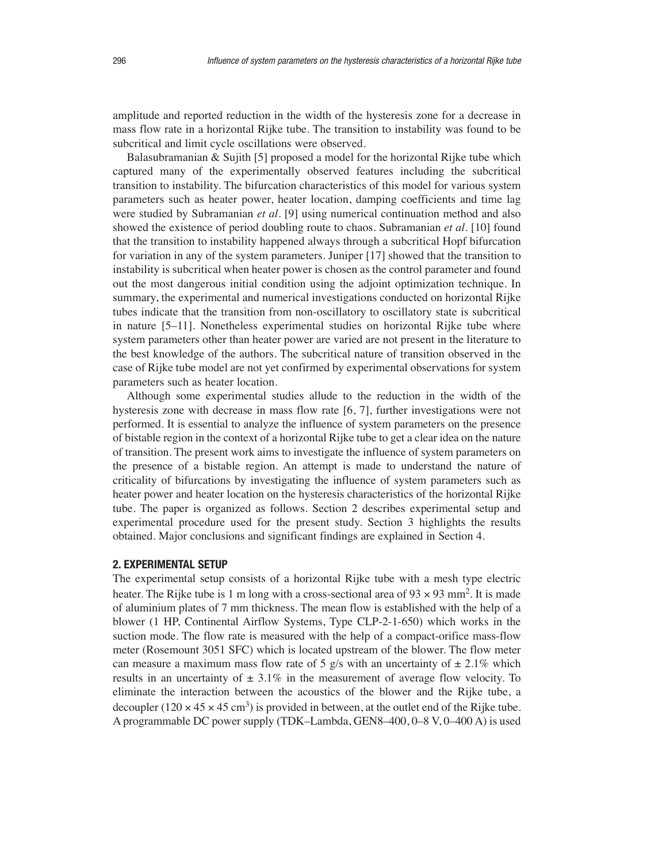amplitude and reported reduction in the width of the hysteresis zone for a decrease in mass flow rate in a horizontal Rijke tube. The transition to instability was found to be subcritical and limit cycle oscillations were observed.

Balasubramanian & Sujith [5] proposed a model for the horizontal Rijke tube which captured many of the experimentally observed features including the subcritical transition to instability. The bifurcation characteristics of this model for various system parameters such as heater power, heater location, damping coefficients and time lag were studied by Subramanian *et al.* [9] using numerical continuation method and also showed the existence of period doubling route to chaos. Subramanian *et al.* [10] found that the transition to instability happened always through a subcritical Hopf bifurcation for variation in any of the system parameters. Juniper [17] showed that the transition to instability is subcritical when heater power is chosen as the control parameter and found out the most dangerous initial condition using the adjoint optimization technique. In summary, the experimental and numerical investigations conducted on horizontal Rijke tubes indicate that the transition from non-oscillatory to oscillatory state is subcritical in nature [5–11]. Nonetheless experimental studies on horizontal Rijke tube where system parameters other than heater power are varied are not present in the literature to the best knowledge of the authors. The subcritical nature of transition observed in the case of Rijke tube model are not yet confirmed by experimental observations for system parameters such as heater location.

Although some experimental studies allude to the reduction in the width of the hysteresis zone with decrease in mass flow rate [6, 7], further investigations were not performed. It is essential to analyze the influence of system parameters on the presence of bistable region in the context of a horizontal Rijke tube to get a clear idea on the nature of transition. The present work aims to investigate the influence of system parameters on the presence of a bistable region. An attempt is made to understand the nature of criticality of bifurcations by investigating the influence of system parameters such as heater power and heater location on the hysteresis characteristics of the horizontal Rijke tube. The paper is organized as follows. Section 2 describes experimental setup and experimental procedure used for the present study. Section 3 highlights the results obtained. Major conclusions and significant findings are explained in Section 4.

# **2. EXPERIMENTAL SETUP**

The experimental setup consists of a horizontal Rijke tube with a mesh type electric heater. The Rijke tube is 1 m long with a cross-sectional area of  $93 \times 93$  mm<sup>2</sup>. It is made of aluminium plates of 7 mm thickness. The mean flow is established with the help of a blower (1 HP, Continental Airflow Systems, Type CLP-2-1-650) which works in the suction mode. The flow rate is measured with the help of a compact-orifice mass-flow meter (Rosemount 3051 SFC) which is located upstream of the blower. The flow meter can measure a maximum mass flow rate of 5 g/s with an uncertainty of  $\pm 2.1\%$  which results in an uncertainty of  $\pm 3.1\%$  in the measurement of average flow velocity. To eliminate the interaction between the acoustics of the blower and the Rijke tube, a decoupler  $(120 \times 45 \times 45 \text{ cm}^3)$  is provided in between, at the outlet end of the Rijke tube. A programmable DC power supply (TDK–Lambda, GEN8–400, 0–8 V, 0–400 A) is used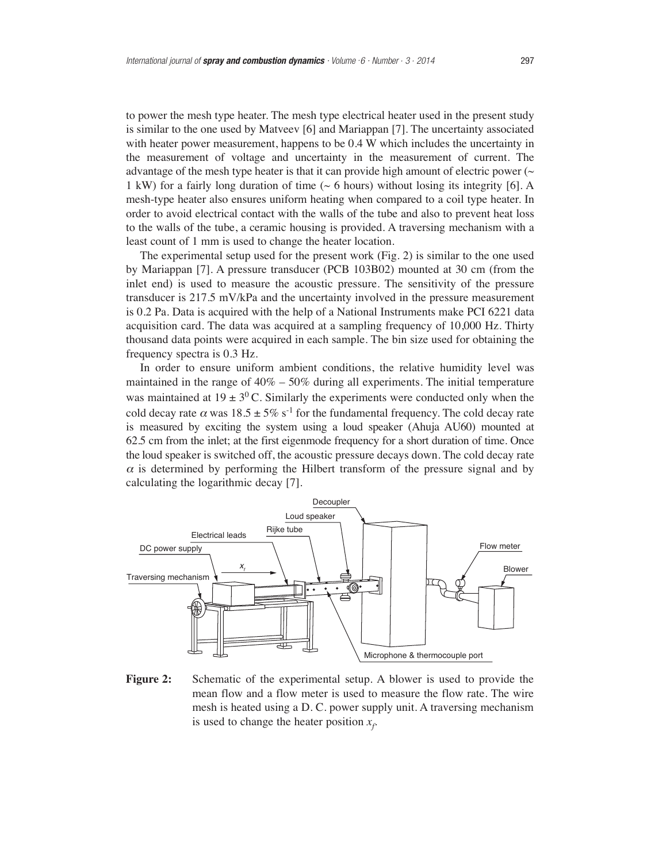to power the mesh type heater. The mesh type electrical heater used in the present study is similar to the one used by Matveev [6] and Mariappan [7]. The uncertainty associated with heater power measurement, happens to be 0.4 W which includes the uncertainty in the measurement of voltage and uncertainty in the measurement of current. The advantage of the mesh type heater is that it can provide high amount of electric power  $(\sim$ 1 kW) for a fairly long duration of time (~ 6 hours) without losing its integrity [6]. A mesh-type heater also ensures uniform heating when compared to a coil type heater. In order to avoid electrical contact with the walls of the tube and also to prevent heat loss to the walls of the tube, a ceramic housing is provided. A traversing mechanism with a least count of 1 mm is used to change the heater location.

The experimental setup used for the present work (Fig. 2) is similar to the one used by Mariappan [7]. A pressure transducer (PCB 103B02) mounted at 30 cm (from the inlet end) is used to measure the acoustic pressure. The sensitivity of the pressure transducer is 217.5 mV/kPa and the uncertainty involved in the pressure measurement is 0.2 Pa. Data is acquired with the help of a National Instruments make PCI 6221 data acquisition card. The data was acquired at a sampling frequency of 10,000 Hz. Thirty thousand data points were acquired in each sample. The bin size used for obtaining the frequency spectra is 0.3 Hz.

In order to ensure uniform ambient conditions, the relative humidity level was maintained in the range of  $40\% - 50\%$  during all experiments. The initial temperature was maintained at  $19 \pm 3^0$  C. Similarly the experiments were conducted only when the cold decay rate  $\alpha$  was  $18.5 \pm 5\%$  s<sup>-1</sup> for the fundamental frequency. The cold decay rate is measured by exciting the system using a loud speaker (Ahuja AU60) mounted at 62.5 cm from the inlet; at the first eigenmode frequency for a short duration of time. Once the loud speaker is switched off, the acoustic pressure decays down. The cold decay rate  $\alpha$  is determined by performing the Hilbert transform of the pressure signal and by calculating the logarithmic decay [7].



**Figure 2:** Schematic of the experimental setup. A blower is used to provide the mean flow and a flow meter is used to measure the flow rate. The wire mesh is heated using a D. C. power supply unit. A traversing mechanism is used to change the heater position  $x_f$ .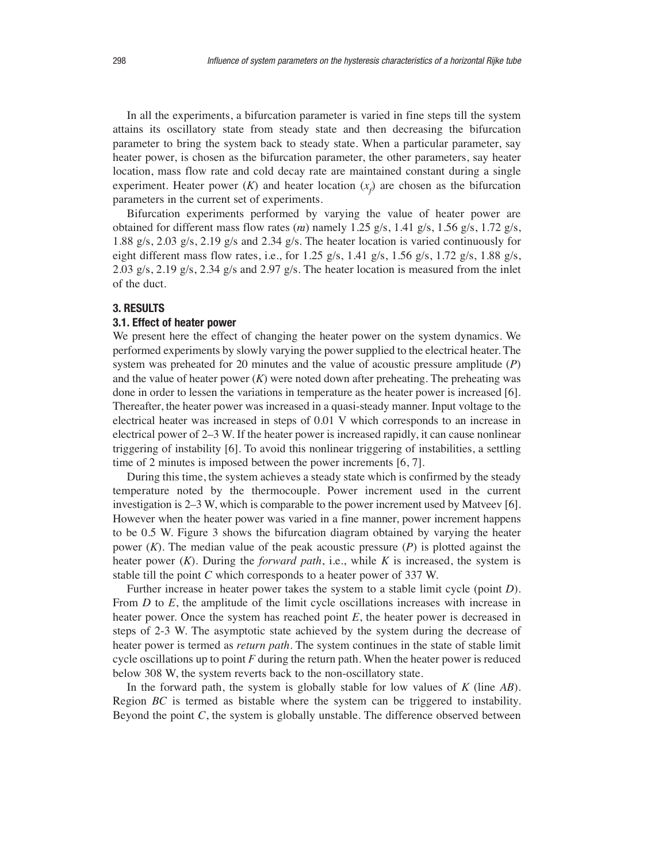In all the experiments, a bifurcation parameter is varied in fine steps till the system attains its oscillatory state from steady state and then decreasing the bifurcation parameter to bring the system back to steady state. When a particular parameter, say heater power, is chosen as the bifurcation parameter, the other parameters, say heater location, mass flow rate and cold decay rate are maintained constant during a single experiment. Heater power  $(K)$  and heater location  $(x_f)$  are chosen as the bifurcation parameters in the current set of experiments.

Bifurcation experiments performed by varying the value of heater power are obtained for different mass flow rates  $(m)$  namely 1.25 g/s, 1.41 g/s, 1.56 g/s, 1.72 g/s, 1.88 g/s, 2.03 g/s, 2.19 g/s and 2.34 g/s. The heater location is varied continuously for eight different mass flow rates, i.e., for  $1.25$  g/s,  $1.41$  g/s,  $1.56$  g/s,  $1.72$  g/s,  $1.88$  g/s, 2.03 g/s, 2.19 g/s, 2.34 g/s and 2.97 g/s. The heater location is measured from the inlet of the duct.

# **3. RESULTS**

# **3.1. Effect of heater power**

We present here the effect of changing the heater power on the system dynamics. We performed experiments by slowly varying the power supplied to the electrical heater. The system was preheated for 20 minutes and the value of acoustic pressure amplitude (*P*) and the value of heater power  $(K)$  were noted down after preheating. The preheating was done in order to lessen the variations in temperature as the heater power is increased [6]. Thereafter, the heater power was increased in a quasi-steady manner. Input voltage to the electrical heater was increased in steps of 0.01 V which corresponds to an increase in electrical power of 2–3 W. If the heater power is increased rapidly, it can cause nonlinear triggering of instability [6]. To avoid this nonlinear triggering of instabilities, a settling time of 2 minutes is imposed between the power increments [6, 7].

During this time, the system achieves a steady state which is confirmed by the steady temperature noted by the thermocouple. Power increment used in the current investigation is 2–3 W, which is comparable to the power increment used by Matveev [6]. However when the heater power was varied in a fine manner, power increment happens to be 0.5 W. Figure 3 shows the bifurcation diagram obtained by varying the heater power (*K*). The median value of the peak acoustic pressure (*P*) is plotted against the heater power (*K*). During the *forward path*, i.e., while *K* is increased, the system is stable till the point *C* which corresponds to a heater power of 337 W.

Further increase in heater power takes the system to a stable limit cycle (point *D*). From *D* to *E*, the amplitude of the limit cycle oscillations increases with increase in heater power. Once the system has reached point *E*, the heater power is decreased in steps of 2-3 W. The asymptotic state achieved by the system during the decrease of heater power is termed as *return path*. The system continues in the state of stable limit cycle oscillations up to point *F* during the return path. When the heater power is reduced below 308 W, the system reverts back to the non-oscillatory state.

In the forward path, the system is globally stable for low values of *K* (line *AB*). Region *BC* is termed as bistable where the system can be triggered to instability. Beyond the point *C*, the system is globally unstable. The difference observed between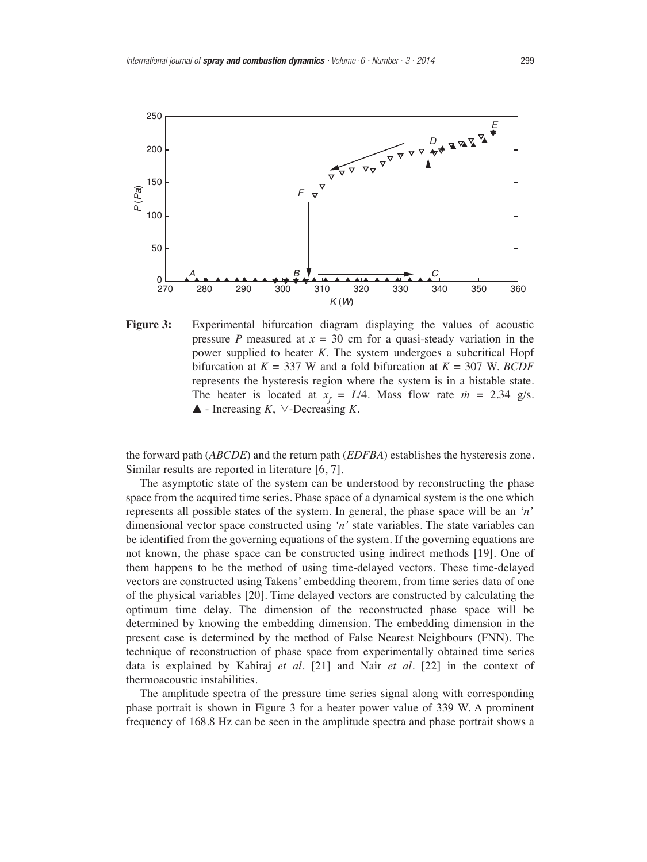

**Figure 3:** Experimental bifurcation diagram displaying the values of acoustic pressure *P* measured at  $x = 30$  cm for a quasi-steady variation in the power supplied to heater *K*. The system undergoes a subcritical Hopf bifurcation at  $K = 337$  W and a fold bifurcation at  $K = 307$  W. *BCDF* represents the hysteresis region where the system is in a bistable state. The heater is located at  $x_f = L/4$ . Mass flow rate  $\dot{m} = 2.34$  g/s.  $\blacktriangle$  - Increasing *K*,  $\nabla$ -Decreasing *K*.

the forward path (*ABCDE*) and the return path (*EDFBA*) establishes the hysteresis zone. Similar results are reported in literature [6, 7].

The asymptotic state of the system can be understood by reconstructing the phase space from the acquired time series. Phase space of a dynamical system is the one which represents all possible states of the system. In general, the phase space will be an *'n'* dimensional vector space constructed using *'n'* state variables. The state variables can be identified from the governing equations of the system. If the governing equations are not known, the phase space can be constructed using indirect methods [19]. One of them happens to be the method of using time-delayed vectors. These time-delayed vectors are constructed using Takens' embedding theorem, from time series data of one of the physical variables [20]. Time delayed vectors are constructed by calculating the optimum time delay. The dimension of the reconstructed phase space will be determined by knowing the embedding dimension. The embedding dimension in the present case is determined by the method of False Nearest Neighbours (FNN). The technique of reconstruction of phase space from experimentally obtained time series data is explained by Kabiraj *et al.* [21] and Nair *et al.* [22] in the context of thermoacoustic instabilities.

The amplitude spectra of the pressure time series signal along with corresponding phase portrait is shown in Figure 3 for a heater power value of 339 W. A prominent frequency of 168.8 Hz can be seen in the amplitude spectra and phase portrait shows a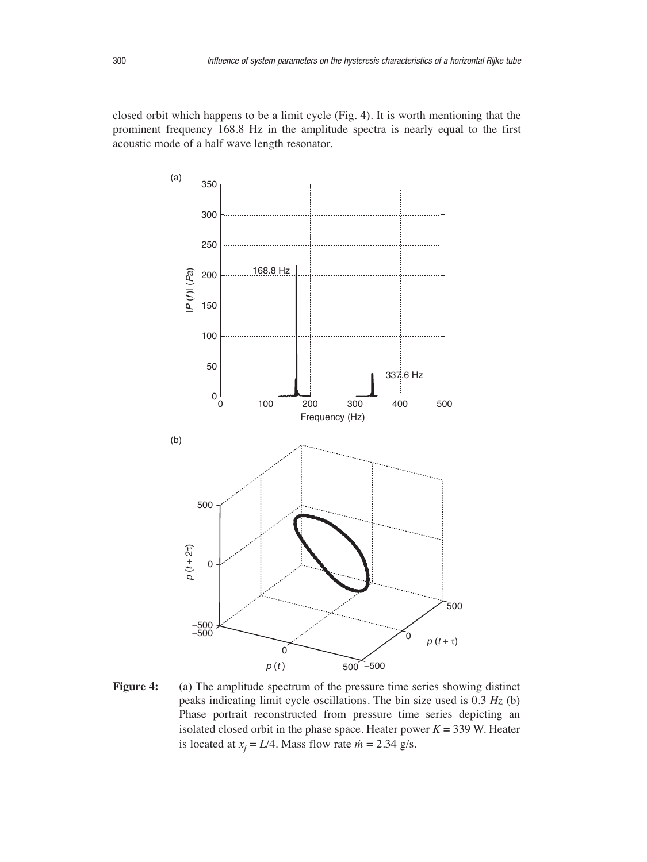closed orbit which happens to be a limit cycle (Fig. 4). It is worth mentioning that the prominent frequency 168.8 Hz in the amplitude spectra is nearly equal to the first acoustic mode of a half wave length resonator.



**Figure 4:** (a) The amplitude spectrum of the pressure time series showing distinct peaks indicating limit cycle oscillations. The bin size used is 0.3 *Hz* (b) Phase portrait reconstructed from pressure time series depicting an isolated closed orbit in the phase space. Heater power  $K = 339$  W. Heater is located at  $x_f = L/4$ . Mass flow rate  $\dot{m} = 2.34$  g/s.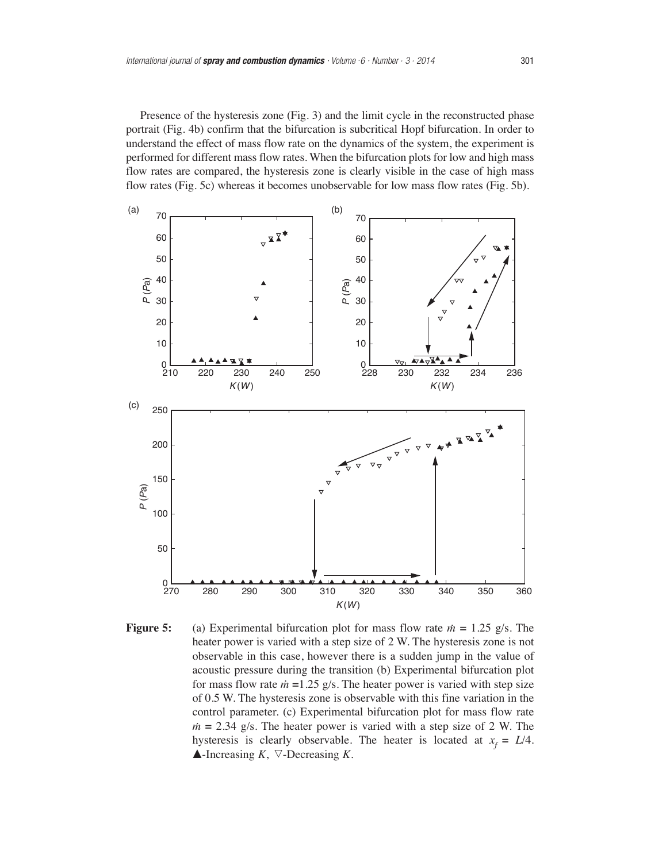Presence of the hysteresis zone (Fig. 3) and the limit cycle in the reconstructed phase portrait (Fig. 4b) confirm that the bifurcation is subcritical Hopf bifurcation. In order to understand the effect of mass flow rate on the dynamics of the system, the experiment is performed for different mass flow rates. When the bifurcation plots for low and high mass flow rates are compared, the hysteresis zone is clearly visible in the case of high mass flow rates (Fig. 5c) whereas it becomes unobservable for low mass flow rates (Fig. 5b).



**Figure 5:** (a) Experimental bifurcation plot for mass flow rate  $\dot{m} = 1.25$  g/s. The heater power is varied with a step size of 2 W. The hysteresis zone is not observable in this case, however there is a sudden jump in the value of acoustic pressure during the transition (b) Experimental bifurcation plot for mass flow rate  $\dot{m}$  =1.25 g/s. The heater power is varied with step size of 0.5 W. The hysteresis zone is observable with this fine variation in the control parameter. (c) Experimental bifurcation plot for mass flow rate  $m = 2.34$  g/s. The heater power is varied with a step size of 2 W. The hysteresis is clearly observable. The heater is located at  $x_f = L/4$ .  $\blacktriangle$ -Increasing *K*,  $\nabla$ -Decreasing *K*.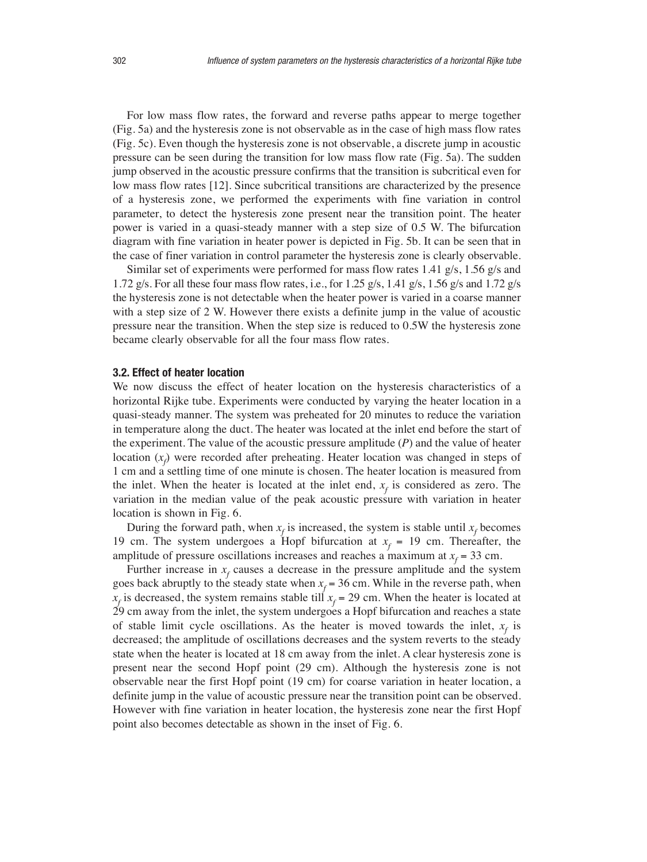For low mass flow rates, the forward and reverse paths appear to merge together (Fig. 5a) and the hysteresis zone is not observable as in the case of high mass flow rates (Fig. 5c). Even though the hysteresis zone is not observable, a discrete jump in acoustic pressure can be seen during the transition for low mass flow rate (Fig. 5a). The sudden jump observed in the acoustic pressure confirms that the transition is subcritical even for low mass flow rates [12]. Since subcritical transitions are characterized by the presence of a hysteresis zone, we performed the experiments with fine variation in control parameter, to detect the hysteresis zone present near the transition point. The heater power is varied in a quasi-steady manner with a step size of 0.5 W. The bifurcation diagram with fine variation in heater power is depicted in Fig. 5b. It can be seen that in the case of finer variation in control parameter the hysteresis zone is clearly observable.

Similar set of experiments were performed for mass flow rates 1.41 g/s, 1.56 g/s and 1.72 g/s. For all these four mass flow rates, i.e., for 1.25 g/s, 1.41 g/s, 1.56 g/s and 1.72 g/s the hysteresis zone is not detectable when the heater power is varied in a coarse manner with a step size of 2 W. However there exists a definite jump in the value of acoustic pressure near the transition. When the step size is reduced to 0.5W the hysteresis zone became clearly observable for all the four mass flow rates.

#### **3.2. Effect of heater location**

We now discuss the effect of heater location on the hysteresis characteristics of a horizontal Rijke tube. Experiments were conducted by varying the heater location in a quasi-steady manner. The system was preheated for 20 minutes to reduce the variation in temperature along the duct. The heater was located at the inlet end before the start of the experiment. The value of the acoustic pressure amplitude (*P*) and the value of heater location  $(x_f)$  were recorded after preheating. Heater location was changed in steps of 1 cm and a settling time of one minute is chosen. The heater location is measured from the inlet. When the heater is located at the inlet end,  $x_f$  is considered as zero. The variation in the median value of the peak acoustic pressure with variation in heater location is shown in Fig. 6.

During the forward path, when  $x_f$  is increased, the system is stable until  $x_f$  becomes 19 cm. The system undergoes a Hopf bifurcation at  $x_f = 19$  cm. Thereafter, the amplitude of pressure oscillations increases and reaches a maximum at  $x_f = 33$  cm.

Further increase in  $x_f$  causes a decrease in the pressure amplitude and the system goes back abruptly to the steady state when  $x_f = 36$  cm. While in the reverse path, when  $x_f$  is decreased, the system remains stable till  $x_f = 29$  cm. When the heater is located at 29 cm away from the inlet, the system undergoes a Hopf bifurcation and reaches a state of stable limit cycle oscillations. As the heater is moved towards the inlet,  $x_f$  is decreased; the amplitude of oscillations decreases and the system reverts to the steady state when the heater is located at 18 cm away from the inlet. A clear hysteresis zone is present near the second Hopf point (29 cm). Although the hysteresis zone is not observable near the first Hopf point (19 cm) for coarse variation in heater location, a definite jump in the value of acoustic pressure near the transition point can be observed. However with fine variation in heater location, the hysteresis zone near the first Hopf point also becomes detectable as shown in the inset of Fig. 6.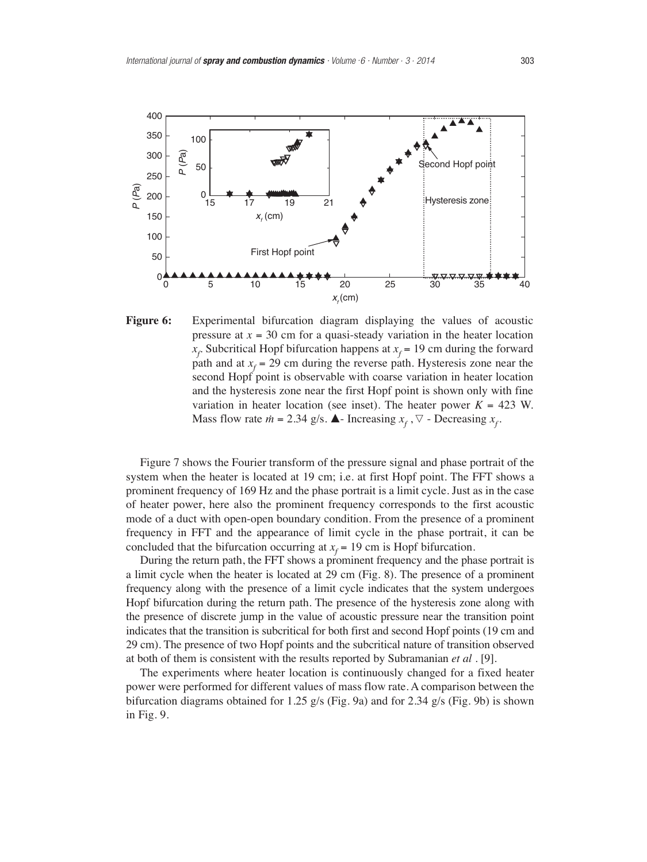

**Figure 6:** Experimental bifurcation diagram displaying the values of acoustic pressure at  $x = 30$  cm for a quasi-steady variation in the heater location  $x_f$  Subcritical Hopf bifurcation happens at  $x_f = 19$  cm during the forward path and at  $x_f = 29$  cm during the reverse path. Hysteresis zone near the second Hopf point is observable with coarse variation in heater location and the hysteresis zone near the first Hopf point is shown only with fine variation in heater location (see inset). The heater power  $K = 423$  W. Mass flow rate  $\dot{m} = 2.34$  g/s.  $\triangle$ - Increasing  $x_f$ ,  $\nabla$ - Decreasing  $x_f$ .

Figure 7 shows the Fourier transform of the pressure signal and phase portrait of the system when the heater is located at 19 cm; i.e. at first Hopf point. The FFT shows a prominent frequency of 169 Hz and the phase portrait is a limit cycle. Just as in the case of heater power, here also the prominent frequency corresponds to the first acoustic mode of a duct with open-open boundary condition. From the presence of a prominent frequency in FFT and the appearance of limit cycle in the phase portrait, it can be concluded that the bifurcation occurring at  $x_f = 19$  cm is Hopf bifurcation.

During the return path, the FFT shows a prominent frequency and the phase portrait is a limit cycle when the heater is located at 29 cm (Fig. 8). The presence of a prominent frequency along with the presence of a limit cycle indicates that the system undergoes Hopf bifurcation during the return path. The presence of the hysteresis zone along with the presence of discrete jump in the value of acoustic pressure near the transition point indicates that the transition is subcritical for both first and second Hopf points (19 cm and 29 cm). The presence of two Hopf points and the subcritical nature of transition observed at both of them is consistent with the results reported by Subramanian *et al .* [9].

The experiments where heater location is continuously changed for a fixed heater power were performed for different values of mass flow rate. A comparison between the bifurcation diagrams obtained for 1.25 g/s (Fig. 9a) and for 2.34 g/s (Fig. 9b) is shown in Fig. 9.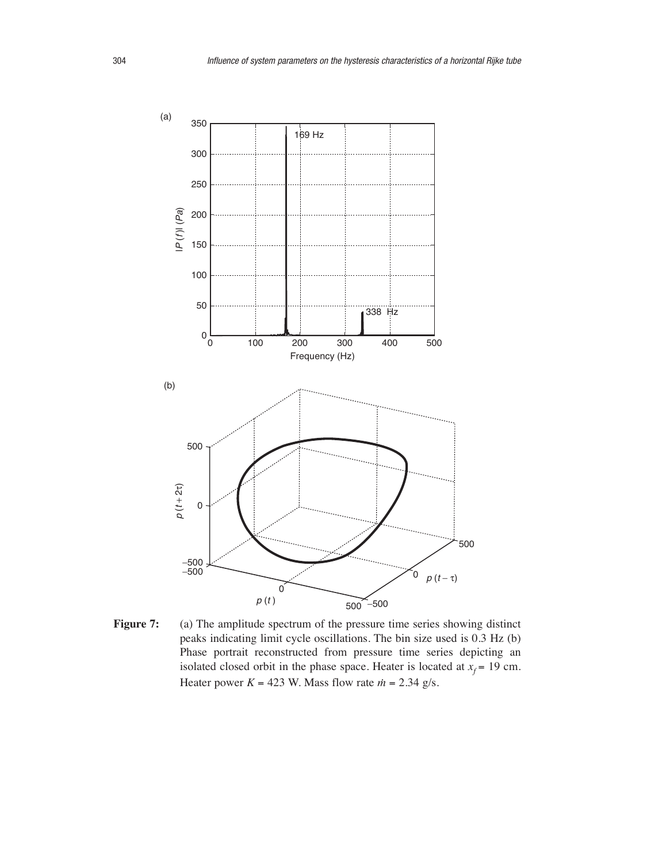

Figure 7: (a) The amplitude spectrum of the pressure time series showing distinct peaks indicating limit cycle oscillations. The bin size used is 0.3 Hz (b) Phase portrait reconstructed from pressure time series depicting an isolated closed orbit in the phase space. Heater is located at  $x_f = 19$  cm. Heater power  $K = 423$  W. Mass flow rate  $\dot{m} = 2.34$  g/s.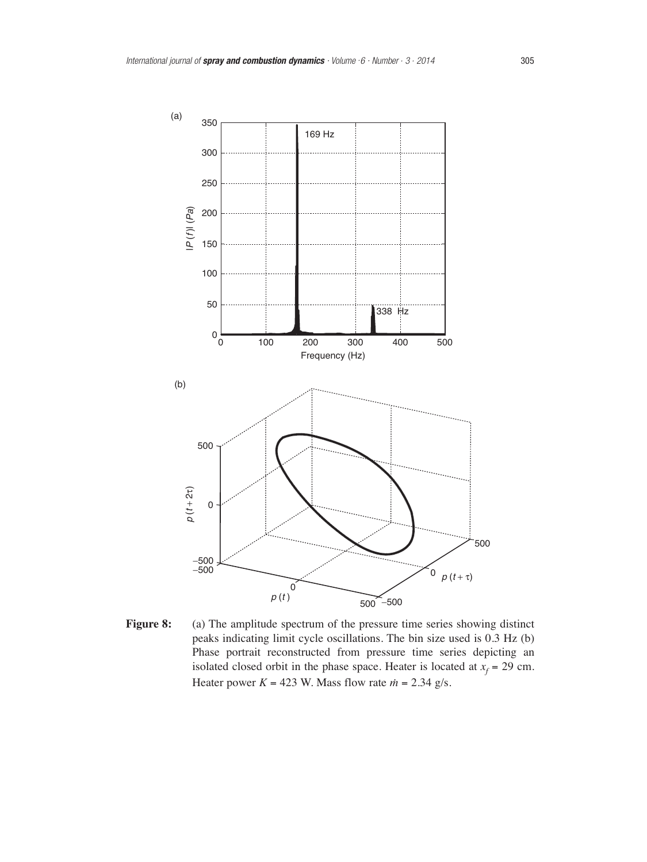

Figure 8: (a) The amplitude spectrum of the pressure time series showing distinct peaks indicating limit cycle oscillations. The bin size used is 0.3 Hz (b) Phase portrait reconstructed from pressure time series depicting an isolated closed orbit in the phase space. Heater is located at  $x_f = 29$  cm. Heater power  $K = 423$  W. Mass flow rate  $\dot{m} = 2.34$  g/s.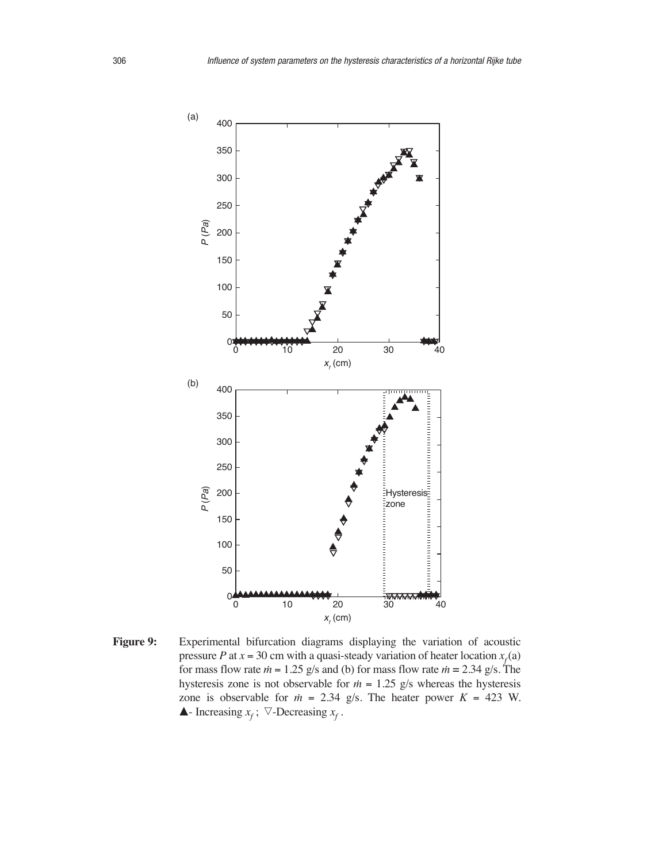

Figure 9: Experimental bifurcation diagrams displaying the variation of acoustic pressure *P* at  $x = 30$  cm with a quasi-steady variation of heater location  $x_f(a)$ for mass flow rate  $m = 1.25$  g/s and (b) for mass flow rate  $m = 2.34$  g/s. The hysteresis zone is not observable for  $\dot{m} = 1.25$  g/s whereas the hysteresis zone is observable for  $m = 2.34$  g/s. The heater power  $K = 423$  W.  $\blacktriangle$ - Increasing  $x_f$ ;  $\triangledown$ -Decreasing  $x_f$ .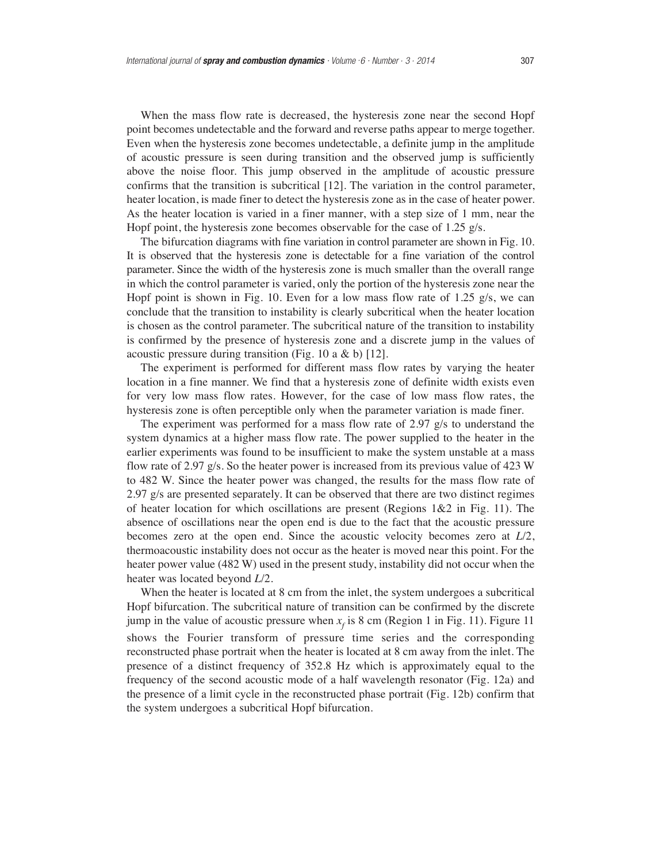When the mass flow rate is decreased, the hysteresis zone near the second Hopf point becomes undetectable and the forward and reverse paths appear to merge together. Even when the hysteresis zone becomes undetectable, a definite jump in the amplitude of acoustic pressure is seen during transition and the observed jump is sufficiently above the noise floor. This jump observed in the amplitude of acoustic pressure confirms that the transition is subcritical [12]. The variation in the control parameter, heater location, is made finer to detect the hysteresis zone as in the case of heater power. As the heater location is varied in a finer manner, with a step size of 1 mm, near the Hopf point, the hysteresis zone becomes observable for the case of 1.25 g/s.

The bifurcation diagrams with fine variation in control parameter are shown in Fig. 10. It is observed that the hysteresis zone is detectable for a fine variation of the control parameter. Since the width of the hysteresis zone is much smaller than the overall range in which the control parameter is varied, only the portion of the hysteresis zone near the Hopf point is shown in Fig. 10. Even for a low mass flow rate of 1.25 g/s, we can conclude that the transition to instability is clearly subcritical when the heater location is chosen as the control parameter. The subcritical nature of the transition to instability is confirmed by the presence of hysteresis zone and a discrete jump in the values of acoustic pressure during transition (Fig. 10 a & b) [12].

The experiment is performed for different mass flow rates by varying the heater location in a fine manner. We find that a hysteresis zone of definite width exists even for very low mass flow rates. However, for the case of low mass flow rates, the hysteresis zone is often perceptible only when the parameter variation is made finer.

The experiment was performed for a mass flow rate of 2.97 g/s to understand the system dynamics at a higher mass flow rate. The power supplied to the heater in the earlier experiments was found to be insufficient to make the system unstable at a mass flow rate of 2.97 g/s. So the heater power is increased from its previous value of 423 W to 482 W. Since the heater power was changed, the results for the mass flow rate of 2.97 g/s are presented separately. It can be observed that there are two distinct regimes of heater location for which oscillations are present (Regions  $1\&2$  in Fig. 11). The absence of oscillations near the open end is due to the fact that the acoustic pressure becomes zero at the open end. Since the acoustic velocity becomes zero at *L*/2, thermoacoustic instability does not occur as the heater is moved near this point. For the heater power value (482 W) used in the present study, instability did not occur when the heater was located beyond *L*/2.

When the heater is located at 8 cm from the inlet, the system undergoes a subcritical Hopf bifurcation. The subcritical nature of transition can be confirmed by the discrete jump in the value of acoustic pressure when  $x_f$  is 8 cm (Region 1 in Fig. 11). Figure 11 shows the Fourier transform of pressure time series and the corresponding reconstructed phase portrait when the heater is located at 8 cm away from the inlet. The presence of a distinct frequency of 352.8 Hz which is approximately equal to the frequency of the second acoustic mode of a half wavelength resonator (Fig. 12a) and the presence of a limit cycle in the reconstructed phase portrait (Fig. 12b) confirm that the system undergoes a subcritical Hopf bifurcation.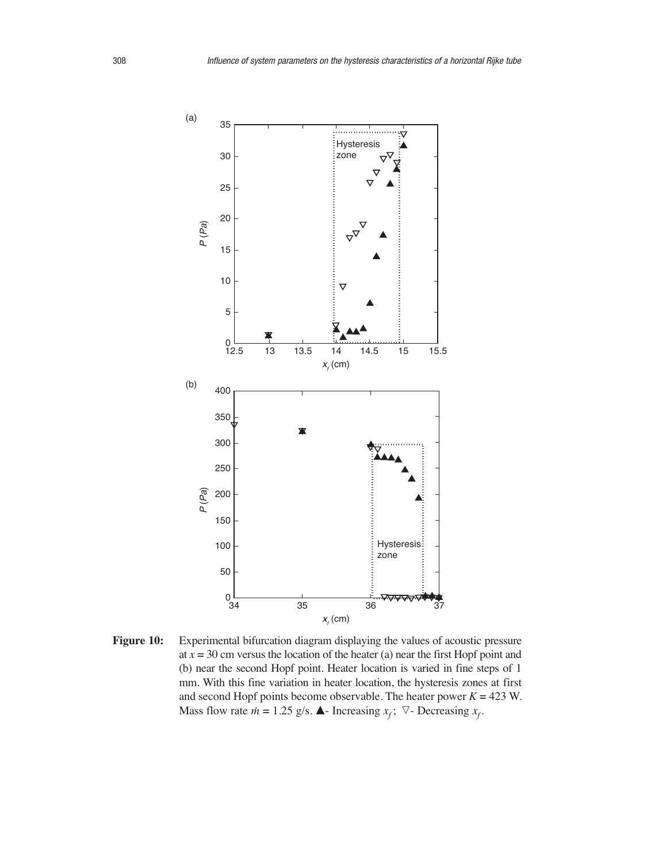

Figure 10: Experimental bifurcation diagram displaying the values of acoustic pressure at  $x = 30$  cm versus the location of the heater (a) near the first Hopf point and (b) near the second Hopf point. Heater location is varied in fine steps of 1 mm. With this fine variation in heater location, the hysteresis zones at first and second Hopf points become observable. The heater power  $K = 423$  W. Mass flow rate  $\dot{m} = 1.25$  g/s.  $\blacktriangle$ - Increasing  $x_f$ ;  $\nabla$ - Decreasing  $x_f$ .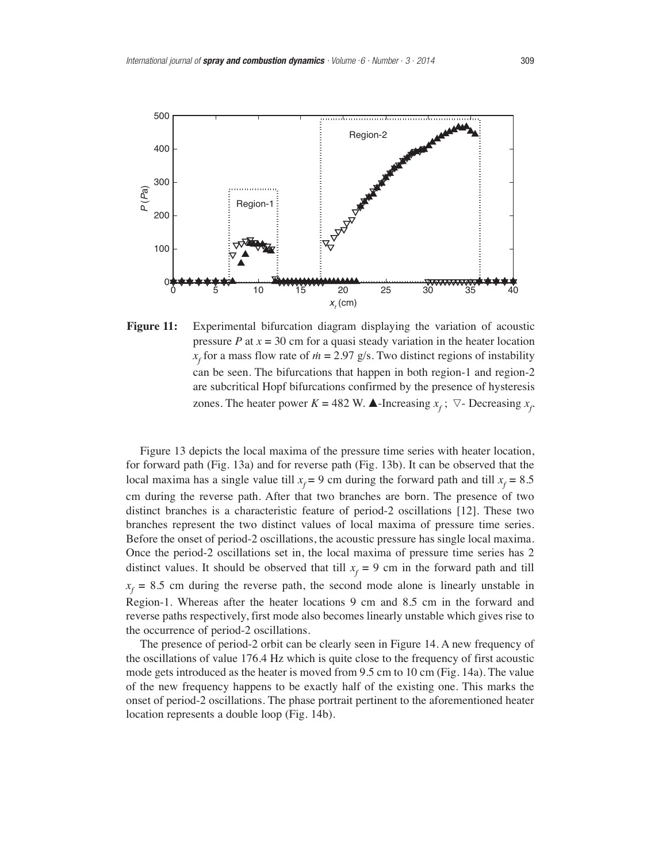

**Figure 11:** Experimental bifurcation diagram displaying the variation of acoustic pressure  $P$  at  $x = 30$  cm for a quasi steady variation in the heater location  $\frac{1}{x_f}$  for a mass flow rate of  $\dot{m} = 2.97$  g/s. Two distinct regions of instability can be seen. The bifurcations that happen in both region-1 and region-2 are subcritical Hopf bifurcations confirmed by the presence of hysteresis zones. The heater power *K* = 482 W.  $\triangle$ -Increasing  $x_f$ ;  $\nabla$ - Decreasing  $x_f$ 

Figure 13 depicts the local maxima of the pressure time series with heater location, for forward path (Fig. 13a) and for reverse path (Fig. 13b). It can be observed that the local maxima has a single value till  $x_f = 9$  cm during the forward path and till  $x_f = 8.5$ cm during the reverse path. After that two branches are born. The presence of two distinct branches is a characteristic feature of period-2 oscillations [12]. These two branches represent the two distinct values of local maxima of pressure time series. Before the onset of period-2 oscillations, the acoustic pressure has single local maxima. Once the period-2 oscillations set in, the local maxima of pressure time series has 2 distinct values. It should be observed that till  $x_f = 9$  cm in the forward path and till  $x_f$  = 8.5 cm during the reverse path, the second mode alone is linearly unstable in Region-1. Whereas after the heater locations 9 cm and 8.5 cm in the forward and reverse paths respectively, first mode also becomes linearly unstable which gives rise to the occurrence of period-2 oscillations.

The presence of period-2 orbit can be clearly seen in Figure 14. A new frequency of the oscillations of value 176.4 Hz which is quite close to the frequency of first acoustic mode gets introduced as the heater is moved from 9.5 cm to 10 cm (Fig. 14a). The value of the new frequency happens to be exactly half of the existing one. This marks the onset of period-2 oscillations. The phase portrait pertinent to the aforementioned heater location represents a double loop (Fig. 14b).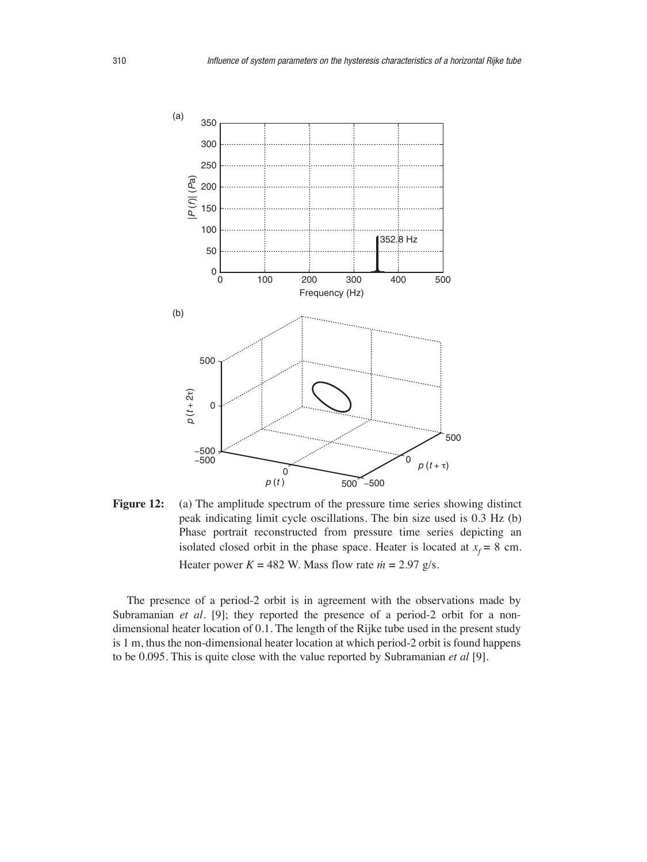

Figure 12: (a) The amplitude spectrum of the pressure time series showing distinct peak indicating limit cycle oscillations. The bin size used is 0.3 Hz (b) Phase portrait reconstructed from pressure time series depicting an isolated closed orbit in the phase space. Heater is located at  $x_f = 8$  cm. Heater power  $K = 482$  W. Mass flow rate  $\dot{m} = 2.97$  g/s.

The presence of a period-2 orbit is in agreement with the observations made by Subramanian *et al.* [9]; they reported the presence of a period-2 orbit for a nondimensional heater location of 0.1. The length of the Rijke tube used in the present study is 1 m, thus the non-dimensional heater location at which period-2 orbit is found happens to be 0.095. This is quite close with the value reported by Subramanian *et al* [9]*.*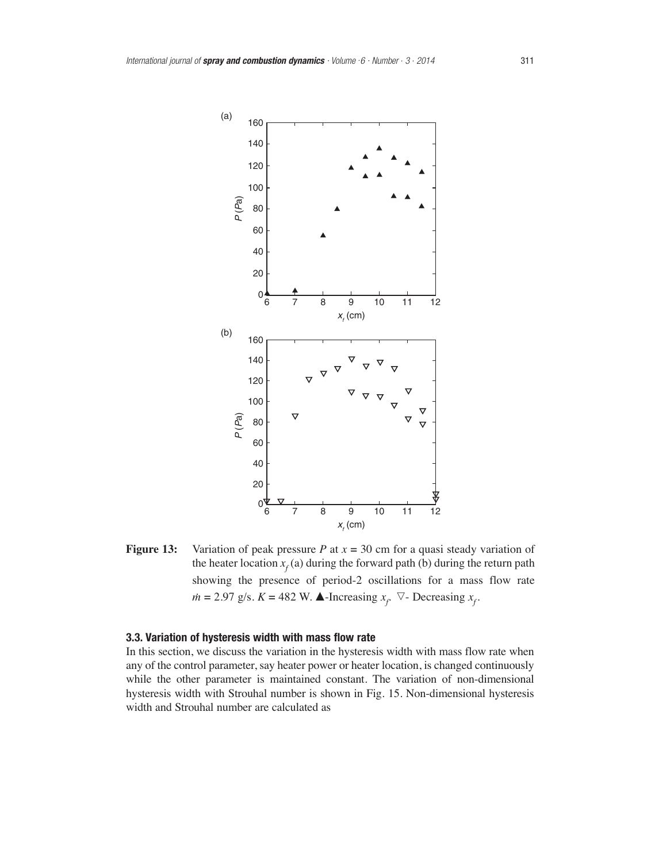

**Figure 13:** Variation of peak pressure *P* at  $x = 30$  cm for a quasi steady variation of the heater location  $x_f$  (a) during the forward path (b) during the return path showing the presence of period-2 oscillations for a mass flow rate  $m = 2.97$  g/s.  $K = 482$  W.  $\triangle$ -Increasing  $x_f$ .  $\nabla$ - Decreasing  $x_f$ .

# **3.3. Variation of hysteresis width with mass flow rate**

In this section, we discuss the variation in the hysteresis width with mass flow rate when any of the control parameter, say heater power or heater location, is changed continuously while the other parameter is maintained constant. The variation of non-dimensional hysteresis width with Strouhal number is shown in Fig. 15. Non-dimensional hysteresis width and Strouhal number are calculated as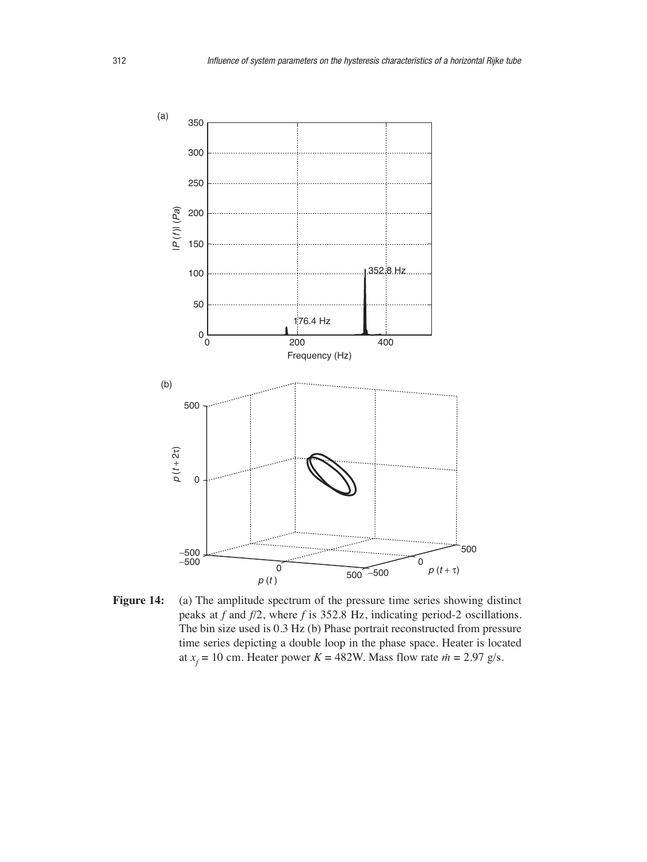

Figure 14: (a) The amplitude spectrum of the pressure time series showing distinct peaks at *f* and *f*/2, where *f* is 352.8 Hz, indicating period-2 oscillations. The bin size used is 0.3 Hz (b) Phase portrait reconstructed from pressure time series depicting a double loop in the phase space. Heater is located at  $x_f = 10$  cm. Heater power  $K = 482$ W. Mass flow rate  $\dot{m} = 2.97$  g/s.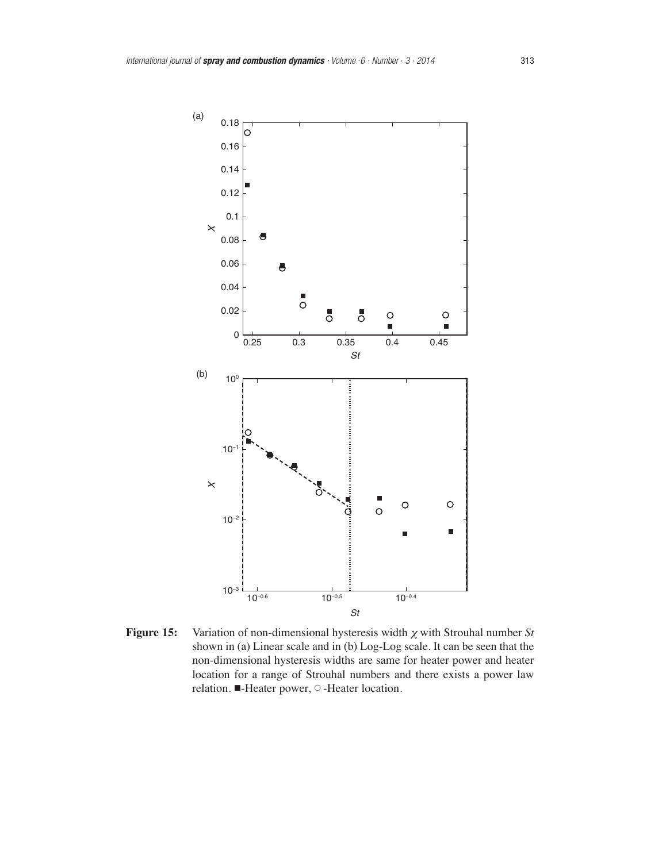

**Figure 15:** Variation of non-dimensional hysteresis width  $\chi$  with Strouhal number *St* shown in (a) Linear scale and in (b) Log-Log scale. It can be seen that the non-dimensional hysteresis widths are same for heater power and heater location for a range of Strouhal numbers and there exists a power law relation. ■-Heater power, ○ -Heater location.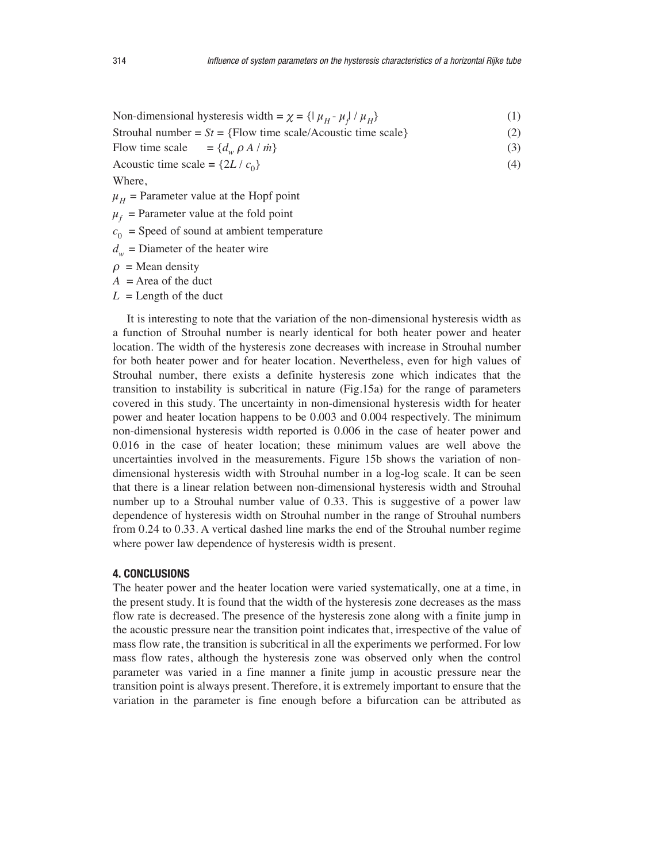Non-dimensional hysteresis width =  $\chi$  = { $\mu_H$ - $\mu_f$  /  $\mu_H$ } (1)

Strouhal number  $= St = {Flow time scale/Acoustic time scale}$  (2)

Flow time scale  $= \{d_w \rho A / m\}$  $}$  (3)

Acoustic time scale =  $\{2L / c_0\}$  (4)

Where,

 $\mu_H$  = Parameter value at the Hopf point

 $\mu_f$  = Parameter value at the fold point

- $c_0$  = Speed of sound at ambient temperature
- $d_w$  = Diameter of the heater wire
- $\rho$  = Mean density

 $A =$ Area of the duct

 $L =$ Length of the duct

It is interesting to note that the variation of the non-dimensional hysteresis width as a function of Strouhal number is nearly identical for both heater power and heater location. The width of the hysteresis zone decreases with increase in Strouhal number for both heater power and for heater location. Nevertheless, even for high values of Strouhal number, there exists a definite hysteresis zone which indicates that the transition to instability is subcritical in nature (Fig.15a) for the range of parameters covered in this study. The uncertainty in non-dimensional hysteresis width for heater power and heater location happens to be 0.003 and 0.004 respectively. The minimum non-dimensional hysteresis width reported is 0.006 in the case of heater power and 0.016 in the case of heater location; these minimum values are well above the uncertainties involved in the measurements. Figure 15b shows the variation of nondimensional hysteresis width with Strouhal number in a log-log scale. It can be seen that there is a linear relation between non-dimensional hysteresis width and Strouhal number up to a Strouhal number value of 0.33. This is suggestive of a power law dependence of hysteresis width on Strouhal number in the range of Strouhal numbers from 0.24 to 0.33. A vertical dashed line marks the end of the Strouhal number regime where power law dependence of hysteresis width is present.

# **4. CONCLUSIONS**

The heater power and the heater location were varied systematically, one at a time, in the present study. It is found that the width of the hysteresis zone decreases as the mass flow rate is decreased. The presence of the hysteresis zone along with a finite jump in the acoustic pressure near the transition point indicates that, irrespective of the value of mass flow rate, the transition is subcritical in all the experiments we performed. For low mass flow rates, although the hysteresis zone was observed only when the control parameter was varied in a fine manner a finite jump in acoustic pressure near the transition point is always present. Therefore, it is extremely important to ensure that the variation in the parameter is fine enough before a bifurcation can be attributed as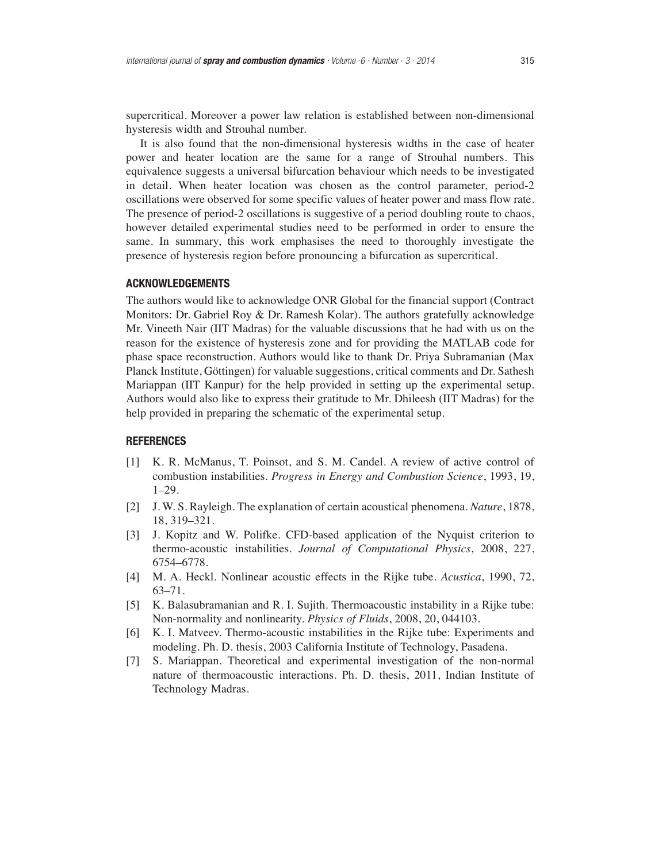supercritical. Moreover a power law relation is established between non-dimensional hysteresis width and Strouhal number.

It is also found that the non-dimensional hysteresis widths in the case of heater power and heater location are the same for a range of Strouhal numbers. This equivalence suggests a universal bifurcation behaviour which needs to be investigated in detail. When heater location was chosen as the control parameter, period-2 oscillations were observed for some specific values of heater power and mass flow rate. The presence of period-2 oscillations is suggestive of a period doubling route to chaos, however detailed experimental studies need to be performed in order to ensure the same. In summary, this work emphasises the need to thoroughly investigate the presence of hysteresis region before pronouncing a bifurcation as supercritical.

### **ACKNOWLEDGEMENTS**

The authors would like to acknowledge ONR Global for the financial support (Contract Monitors: Dr. Gabriel Roy & Dr. Ramesh Kolar). The authors gratefully acknowledge Mr. Vineeth Nair (IIT Madras) for the valuable discussions that he had with us on the reason for the existence of hysteresis zone and for providing the MATLAB code for phase space reconstruction. Authors would like to thank Dr. Priya Subramanian (Max Planck Institute, Göttingen) for valuable suggestions, critical comments and Dr. Sathesh Mariappan (IIT Kanpur) for the help provided in setting up the experimental setup. Authors would also like to express their gratitude to Mr. Dhileesh (IIT Madras) for the help provided in preparing the schematic of the experimental setup.

## **REFERENCES**

- [1] K. R. McManus, T. Poinsot, and S. M. Candel. A review of active control of combustion instabilities. *Progress in Energy and Combustion Science*, 1993, 19, 1–29.
- [2] J. W. S. Rayleigh. The explanation of certain acoustical phenomena. *Nature*, 1878, 18, 319–321.
- [3] J. Kopitz and W. Polifke. CFD-based application of the Nyquist criterion to thermo-acoustic instabilities. *Journal of Computational Physics*, 2008, 227, 6754–6778.
- [4] M. A. Heckl. Nonlinear acoustic effects in the Rijke tube. *Acustica*, 1990, 72, 63–71.
- [5] K. Balasubramanian and R. I. Sujith. Thermoacoustic instability in a Rijke tube: Non-normality and nonlinearity. *Physics of Fluids*, 2008, 20, 044103.
- [6] K. I. Matveev. Thermo-acoustic instabilities in the Rijke tube: Experiments and modeling. Ph. D. thesis, 2003 California Institute of Technology, Pasadena.
- [7] S. Mariappan. Theoretical and experimental investigation of the non-normal nature of thermoacoustic interactions. Ph. D. thesis, 2011, Indian Institute of Technology Madras.